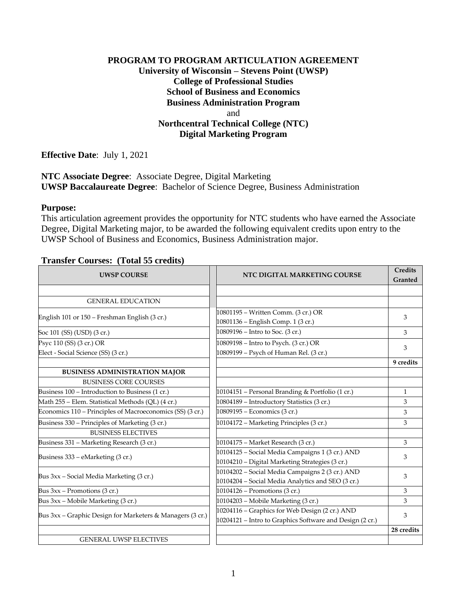# **PROGRAM TO PROGRAM ARTICULATION AGREEMENT University of Wisconsin – Stevens Point (UWSP) College of Professional Studies School of Business and Economics Business Administration Program** and **Northcentral Technical College (NTC) Digital Marketing Program**

**Effective Date**: July 1, 2021

**NTC Associate Degree**: Associate Degree, Digital Marketing **UWSP Baccalaureate Degree**: Bachelor of Science Degree, Business Administration

#### **Purpose:**

This articulation agreement provides the opportunity for NTC students who have earned the Associate Degree, Digital Marketing major, to be awarded the following equivalent credits upon entry to the UWSP School of Business and Economics, Business Administration major.

### **Transfer Courses: (Total 55 credits)**

| <b>UWSP COURSE</b>                                                          | NTC DIGITAL MARKETING COURSE                                                                               | <b>Credits</b><br>Granted |
|-----------------------------------------------------------------------------|------------------------------------------------------------------------------------------------------------|---------------------------|
| <b>GENERAL EDUCATION</b>                                                    |                                                                                                            |                           |
| English 101 or 150 - Freshman English (3 cr.)                               | 10801195 - Written Comm. (3 cr.) OR<br>10801136 - English Comp. 1 (3 cr.)                                  | 3                         |
| Soc 101 (SS) (USD) (3 cr.)                                                  | 10809196 – Intro to Soc. (3 cr.)                                                                           | 3                         |
| Psyc 110 (SS) (3 cr.) OR<br>Elect - Social Science (SS) (3 cr.)             | 10809198 - Intro to Psych. (3 cr.) OR<br>10809199 - Psych of Human Rel. (3 cr.)                            | 3                         |
| <b>BUSINESS ADMINISTRATION MAJOR</b>                                        |                                                                                                            | 9 credits                 |
| <b>BUSINESS CORE COURSES</b>                                                |                                                                                                            |                           |
| Business 100 - Introduction to Business (1 cr.)                             | 10104151 - Personal Branding & Portfolio (1 cr.)                                                           | $\mathbf{1}$              |
| Math 255 - Elem. Statistical Methods (QL) (4 cr.)                           | 10804189 - Introductory Statistics (3 cr.)                                                                 | 3                         |
| Economics 110 – Principles of Macroeconomics (SS) (3 cr.)                   | 10809195 - Economics (3 cr.)                                                                               | 3                         |
| Business 330 – Principles of Marketing (3 cr.)<br><b>BUSINESS ELECTIVES</b> | 10104172 - Marketing Principles (3 cr.)                                                                    | 3                         |
| Business 331 - Marketing Research (3 cr.)                                   | 10104175 - Market Research (3 cr.)                                                                         | 3                         |
| Business 333 – eMarketing (3 cr.)                                           | 10104125 - Social Media Campaigns 1 (3 cr.) AND<br>10104210 - Digital Marketing Strategies (3 cr.)         | 3                         |
| Bus 3xx – Social Media Marketing (3 cr.)                                    | 10104202 - Social Media Campaigns 2 (3 cr.) AND<br>10104204 - Social Media Analytics and SEO (3 cr.)       | 3                         |
| Bus 3xx - Promotions (3 cr.)                                                | 10104126 – Promotions (3 cr.)                                                                              | 3                         |
| Bus 3xx – Mobile Marketing (3 cr.)                                          | 10104203 - Mobile Marketing (3 cr.)                                                                        | 3                         |
| Bus 3xx - Graphic Design for Marketers & Managers (3 cr.)                   | 10204116 - Graphics for Web Design (2 cr.) AND<br>10204121 - Intro to Graphics Software and Design (2 cr.) | 3                         |
|                                                                             |                                                                                                            | 28 credits                |
| <b>GENERAL UWSP ELECTIVES</b>                                               |                                                                                                            |                           |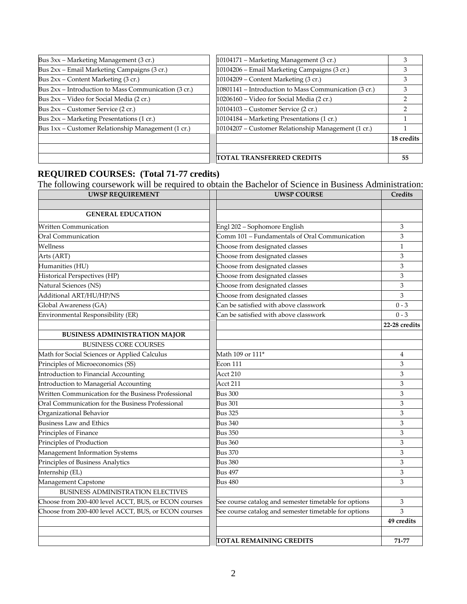| Bus 3xx - Marketing Management (3 cr.)               | 10104171 – Marketing Management (3 cr.)               | Ő.         |
|------------------------------------------------------|-------------------------------------------------------|------------|
| Bus 2xx - Email Marketing Campaigns (3 cr.)          | 10104206 - Email Marketing Campaigns (3 cr.)          |            |
| Bus $2xx$ – Content Marketing (3 cr.)                | 10104209 - Content Marketing (3 cr.)                  | З          |
| Bus 2xx – Introduction to Mass Communication (3 cr.) | 10801141 – Introduction to Mass Communication (3 cr.) | З          |
| Bus 2xx – Video for Social Media (2 cr.)             | 10206160 - Video for Social Media (2 cr.)             |            |
| Bus $2xx$ – Customer Service (2 cr.)                 | 10104103 – Customer Service (2 cr.)                   |            |
| Bus 2xx - Marketing Presentations (1 cr.)            | 10104184 - Marketing Presentations (1 cr.)            |            |
| Bus 1xx - Customer Relationship Management (1 cr.)   | 10104207 - Customer Relationship Management (1 cr.)   |            |
|                                                      |                                                       | 18 credits |
|                                                      |                                                       |            |
|                                                      | TOTAL TRANSFERRED CREDITS                             | 55         |

### **REQUIRED COURSES: (Total 71-77 credits)**

The following coursework will be required to obtain the Bachelor of Science in Business Administration:

| <b>UWSP REQUIREMENT</b>                              | <b>UWSP COURSE</b>                                    | Credits       |
|------------------------------------------------------|-------------------------------------------------------|---------------|
|                                                      |                                                       |               |
| <b>GENERAL EDUCATION</b>                             |                                                       |               |
| Written Communication                                | Engl 202 - Sophomore English                          | 3             |
| Oral Communication                                   | Comm 101 - Fundamentals of Oral Communication         | 3             |
| Wellness                                             | Choose from designated classes                        | 1             |
| Arts (ART)                                           | Choose from designated classes                        | 3             |
| Humanities (HU)                                      | Choose from designated classes                        | 3             |
| Historical Perspectives (HP)                         | Choose from designated classes                        | 3             |
| Natural Sciences (NS)                                | Choose from designated classes                        | 3             |
| Additional ART/HU/HP/NS                              | Choose from designated classes                        | 3             |
| Global Awareness (GA)                                | Can be satisfied with above classwork                 | $0 - 3$       |
| Environmental Responsibility (ER)                    | Can be satisfied with above classwork                 | $0 - 3$       |
|                                                      |                                                       | 22-28 credits |
| <b>BUSINESS ADMINISTRATION MAJOR</b>                 |                                                       |               |
| <b>BUSINESS CORE COURSES</b>                         |                                                       |               |
| Math for Social Sciences or Applied Calculus         | Math 109 or 111*                                      | 4             |
| Principles of Microeconomics (SS)                    | Econ 111                                              | 3             |
| Introduction to Financial Accounting                 | Acct 210                                              | 3             |
| Introduction to Managerial Accounting                | Acct 211                                              | 3             |
| Written Communication for the Business Professional  | <b>Bus 300</b>                                        | 3             |
| Oral Communication for the Business Professional     | <b>Bus 301</b>                                        | 3             |
| Organizational Behavior                              | <b>Bus 325</b>                                        | 3             |
| <b>Business Law and Ethics</b>                       | <b>Bus 340</b>                                        | 3             |
| Principles of Finance                                | <b>Bus 350</b>                                        | 3             |
| Principles of Production                             | <b>Bus 360</b>                                        | 3             |
| Management Information Systems                       | <b>Bus 370</b>                                        | 3             |
| Principles of Business Analytics                     | Bus 380                                               | 3             |
| Internship (EL)                                      | <b>Bus 497</b>                                        | 3             |
| Management Capstone                                  | <b>Bus 480</b>                                        | 3             |
| BUSINESS ADMINISTRATION ELECTIVES                    |                                                       |               |
| Choose from 200-400 level ACCT, BUS, or ECON courses | See course catalog and semester timetable for options | 3             |
| Choose from 200-400 level ACCT, BUS, or ECON courses | See course catalog and semester timetable for options | 3             |
|                                                      |                                                       | 49 credits    |
|                                                      |                                                       |               |
|                                                      | TOTAL REMAINING CREDITS                               | 71-77         |